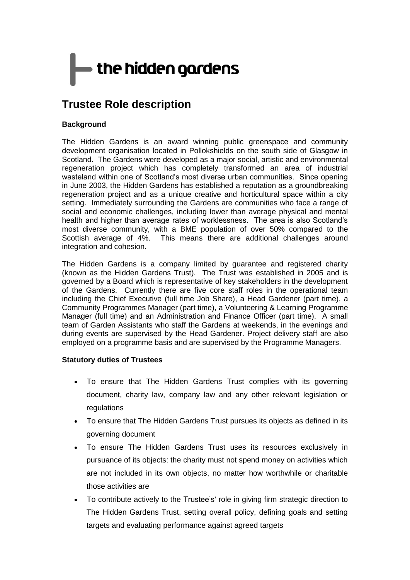# $\blacktriangleright$  the hidden gardens

## **Trustee Role description**

#### **Background**

The Hidden Gardens is an award winning public greenspace and community development organisation located in Pollokshields on the south side of Glasgow in Scotland. The Gardens were developed as a major social, artistic and environmental regeneration project which has completely transformed an area of industrial wasteland within one of Scotland's most diverse urban communities. Since opening in June 2003, the Hidden Gardens has established a reputation as a groundbreaking regeneration project and as a unique creative and horticultural space within a city setting. Immediately surrounding the Gardens are communities who face a range of social and economic challenges, including lower than average physical and mental health and higher than average rates of worklessness. The area is also Scotland's most diverse community, with a BME population of over 50% compared to the Scottish average of 4%. This means there are additional challenges around integration and cohesion.

The Hidden Gardens is a company limited by guarantee and registered charity (known as the Hidden Gardens Trust). The Trust was established in 2005 and is governed by a Board which is representative of key stakeholders in the development of the Gardens. Currently there are five core staff roles in the operational team including the Chief Executive (full time Job Share), a Head Gardener (part time), a Community Programmes Manager (part time), a Volunteering & Learning Programme Manager (full time) and an Administration and Finance Officer (part time). A small team of Garden Assistants who staff the Gardens at weekends, in the evenings and during events are supervised by the Head Gardener. Project delivery staff are also employed on a programme basis and are supervised by the Programme Managers.

#### **Statutory duties of Trustees**

- To ensure that The Hidden Gardens Trust complies with its governing document, charity law, company law and any other relevant legislation or regulations
- To ensure that The Hidden Gardens Trust pursues its objects as defined in its governing document
- To ensure The Hidden Gardens Trust uses its resources exclusively in pursuance of its objects: the charity must not spend money on activities which are not included in its own objects, no matter how worthwhile or charitable those activities are
- To contribute actively to the Trustee's' role in giving firm strategic direction to The Hidden Gardens Trust, setting overall policy, defining goals and setting targets and evaluating performance against agreed targets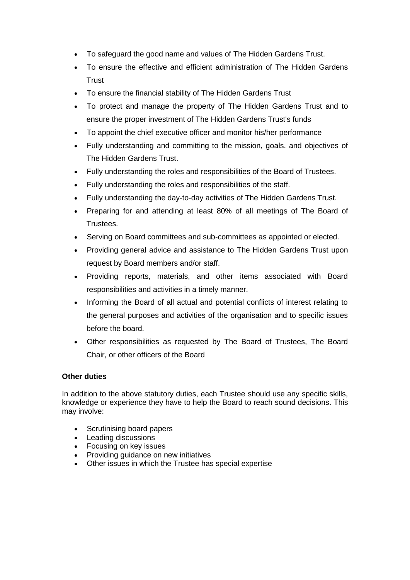- To safeguard the good name and values of The Hidden Gardens Trust.
- To ensure the effective and efficient administration of The Hidden Gardens **Trust**
- To ensure the financial stability of The Hidden Gardens Trust
- To protect and manage the property of The Hidden Gardens Trust and to ensure the proper investment of The Hidden Gardens Trust's funds
- To appoint the chief executive officer and monitor his/her performance
- Fully understanding and committing to the mission, goals, and objectives of The Hidden Gardens Trust.
- Fully understanding the roles and responsibilities of the Board of Trustees.
- Fully understanding the roles and responsibilities of the staff.
- Fully understanding the day-to-day activities of The Hidden Gardens Trust.
- Preparing for and attending at least 80% of all meetings of The Board of Trustees.
- Serving on Board committees and sub-committees as appointed or elected.
- Providing general advice and assistance to The Hidden Gardens Trust upon request by Board members and/or staff.
- Providing reports, materials, and other items associated with Board responsibilities and activities in a timely manner.
- Informing the Board of all actual and potential conflicts of interest relating to the general purposes and activities of the organisation and to specific issues before the board.
- Other responsibilities as requested by The Board of Trustees, The Board Chair, or other officers of the Board

#### **Other duties**

In addition to the above statutory duties, each Trustee should use any specific skills, knowledge or experience they have to help the Board to reach sound decisions. This may involve:

- Scrutinising board papers
- Leading discussions
- Focusing on key issues
- Providing guidance on new initiatives
- Other issues in which the Trustee has special expertise